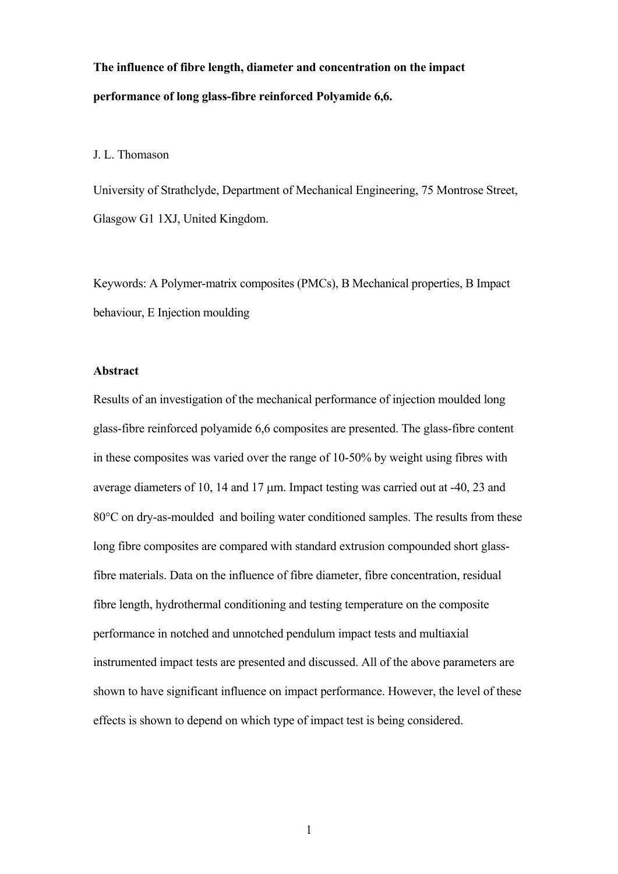# **The influence of fibre length, diameter and concentration on the impact performance of long glass-fibre reinforced Polyamide 6,6.**

#### J. L. Thomason

University of Strathclyde, Department of Mechanical Engineering, 75 Montrose Street, Glasgow G1 1XJ, United Kingdom.

Keywords: A Polymer-matrix composites (PMCs), B Mechanical properties, B Impact behaviour, E Injection moulding

### **Abstract**

Results of an investigation of the mechanical performance of injection moulded long glass-fibre reinforced polyamide 6,6 composites are presented. The glass-fibre content in these composites was varied over the range of 10-50% by weight using fibres with average diameters of 10, 14 and 17 μm. Impact testing was carried out at -40, 23 and 80°C on dry-as-moulded and boiling water conditioned samples. The results from these long fibre composites are compared with standard extrusion compounded short glassfibre materials. Data on the influence of fibre diameter, fibre concentration, residual fibre length, hydrothermal conditioning and testing temperature on the composite performance in notched and unnotched pendulum impact tests and multiaxial instrumented impact tests are presented and discussed. All of the above parameters are shown to have significant influence on impact performance. However, the level of these effects is shown to depend on which type of impact test is being considered.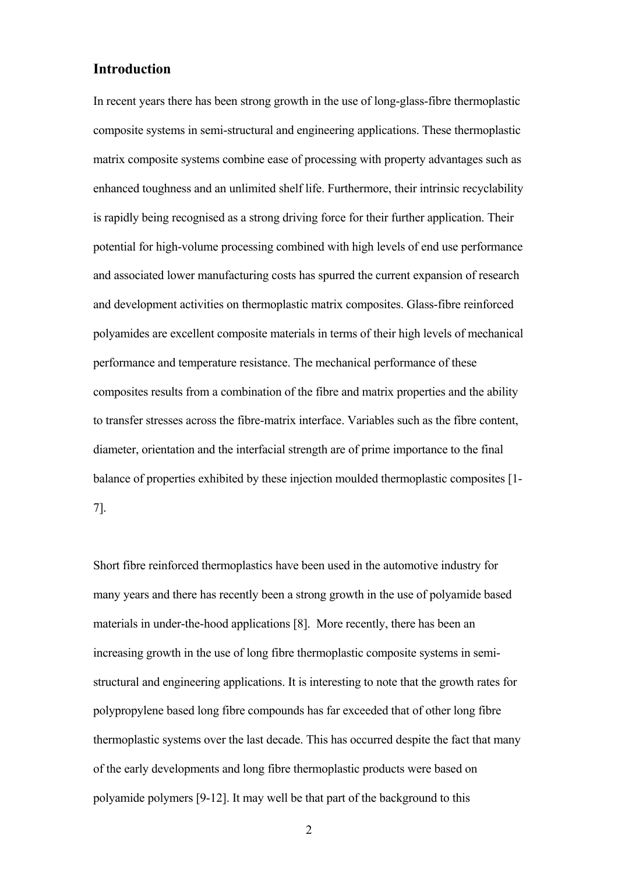## **Introduction**

In recent years there has been strong growth in the use of long-glass-fibre thermoplastic composite systems in semi-structural and engineering applications. These thermoplastic matrix composite systems combine ease of processing with property advantages such as enhanced toughness and an unlimited shelf life. Furthermore, their intrinsic recyclability is rapidly being recognised as a strong driving force for their further application. Their potential for high-volume processing combined with high levels of end use performance and associated lower manufacturing costs has spurred the current expansion of research and development activities on thermoplastic matrix composites. Glass-fibre reinforced polyamides are excellent composite materials in terms of their high levels of mechanical performance and temperature resistance. The mechanical performance of these composites results from a combination of the fibre and matrix properties and the ability to transfer stresses across the fibre-matrix interface. Variables such as the fibre content, diameter, orientation and the interfacial strength are of prime importance to the final balance of properties exhibited by these injection moulded thermoplastic composites [1- 7].

Short fibre reinforced thermoplastics have been used in the automotive industry for many years and there has recently been a strong growth in the use of polyamide based materials in under-the-hood applications [8]. More recently, there has been an increasing growth in the use of long fibre thermoplastic composite systems in semistructural and engineering applications. It is interesting to note that the growth rates for polypropylene based long fibre compounds has far exceeded that of other long fibre thermoplastic systems over the last decade. This has occurred despite the fact that many of the early developments and long fibre thermoplastic products were based on polyamide polymers [9-12]. It may well be that part of the background to this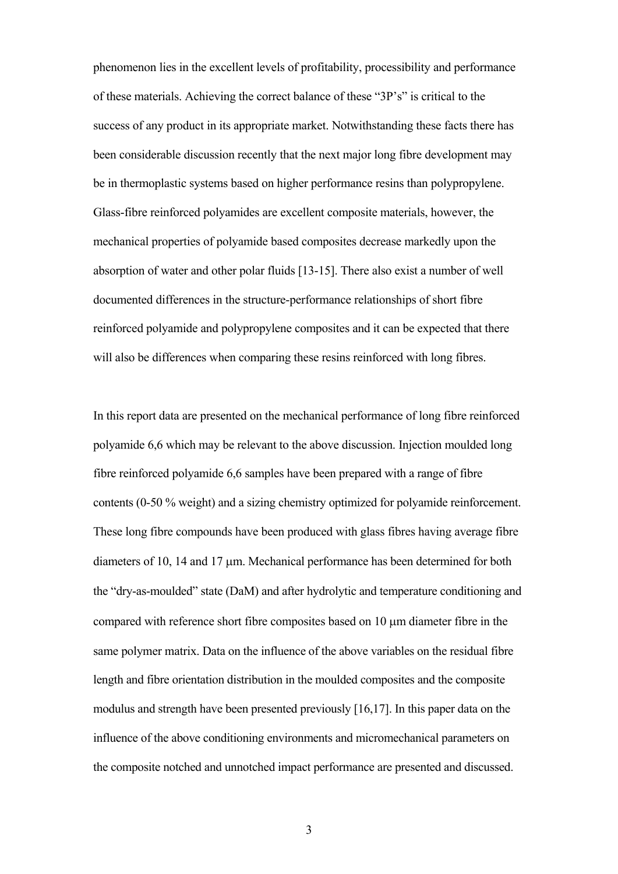phenomenon lies in the excellent levels of profitability, processibility and performance of these materials. Achieving the correct balance of these "3P's" is critical to the success of any product in its appropriate market. Notwithstanding these facts there has been considerable discussion recently that the next major long fibre development may be in thermoplastic systems based on higher performance resins than polypropylene. Glass-fibre reinforced polyamides are excellent composite materials, however, the mechanical properties of polyamide based composites decrease markedly upon the absorption of water and other polar fluids [13-15]. There also exist a number of well documented differences in the structure-performance relationships of short fibre reinforced polyamide and polypropylene composites and it can be expected that there will also be differences when comparing these resins reinforced with long fibres.

In this report data are presented on the mechanical performance of long fibre reinforced polyamide 6,6 which may be relevant to the above discussion. Injection moulded long fibre reinforced polyamide 6,6 samples have been prepared with a range of fibre contents (0-50 % weight) and a sizing chemistry optimized for polyamide reinforcement. These long fibre compounds have been produced with glass fibres having average fibre diameters of 10, 14 and 17 μm. Mechanical performance has been determined for both the "dry-as-moulded" state (DaM) and after hydrolytic and temperature conditioning and compared with reference short fibre composites based on 10 μm diameter fibre in the same polymer matrix. Data on the influence of the above variables on the residual fibre length and fibre orientation distribution in the moulded composites and the composite modulus and strength have been presented previously [16,17]. In this paper data on the influence of the above conditioning environments and micromechanical parameters on the composite notched and unnotched impact performance are presented and discussed.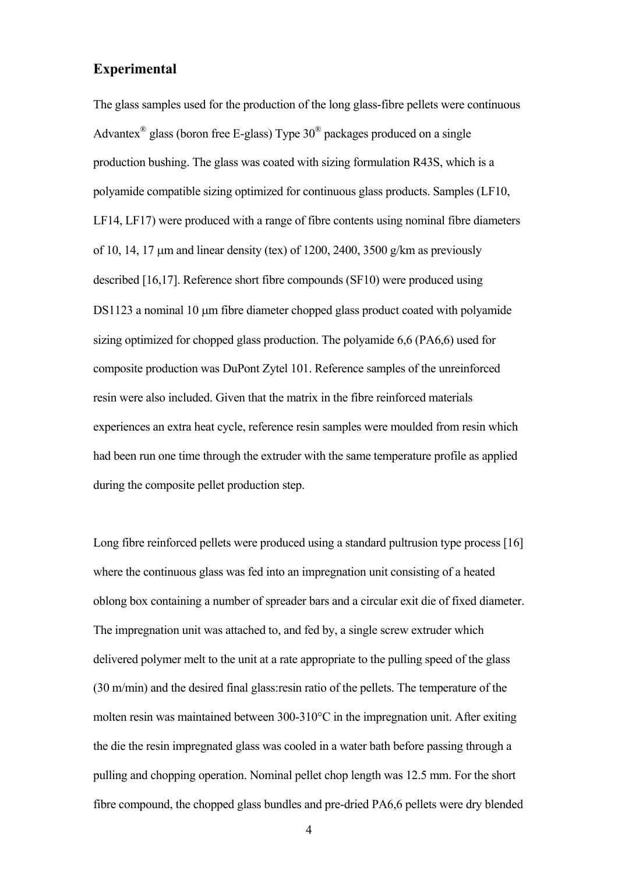# **Experimental**

The glass samples used for the production of the long glass-fibre pellets were continuous Advantex<sup>®</sup> glass (boron free E-glass) Type  $30^{\circledR}$  packages produced on a single production bushing. The glass was coated with sizing formulation R43S, which is a polyamide compatible sizing optimized for continuous glass products. Samples (LF10, LF14, LF17) were produced with a range of fibre contents using nominal fibre diameters of 10, 14, 17  $\mu$ m and linear density (tex) of 1200, 2400, 3500 g/km as previously described [16,17]. Reference short fibre compounds (SF10) were produced using DS1123 a nominal 10 μm fibre diameter chopped glass product coated with polyamide sizing optimized for chopped glass production. The polyamide 6,6 (PA6,6) used for composite production was DuPont Zytel 101. Reference samples of the unreinforced resin were also included. Given that the matrix in the fibre reinforced materials experiences an extra heat cycle, reference resin samples were moulded from resin which had been run one time through the extruder with the same temperature profile as applied during the composite pellet production step.

Long fibre reinforced pellets were produced using a standard pultrusion type process [16] where the continuous glass was fed into an impregnation unit consisting of a heated oblong box containing a number of spreader bars and a circular exit die of fixed diameter. The impregnation unit was attached to, and fed by, a single screw extruder which delivered polymer melt to the unit at a rate appropriate to the pulling speed of the glass (30 m/min) and the desired final glass:resin ratio of the pellets. The temperature of the molten resin was maintained between  $300-310^{\circ}\text{C}$  in the impregnation unit. After exiting the die the resin impregnated glass was cooled in a water bath before passing through a pulling and chopping operation. Nominal pellet chop length was 12.5 mm. For the short fibre compound, the chopped glass bundles and pre-dried PA6,6 pellets were dry blended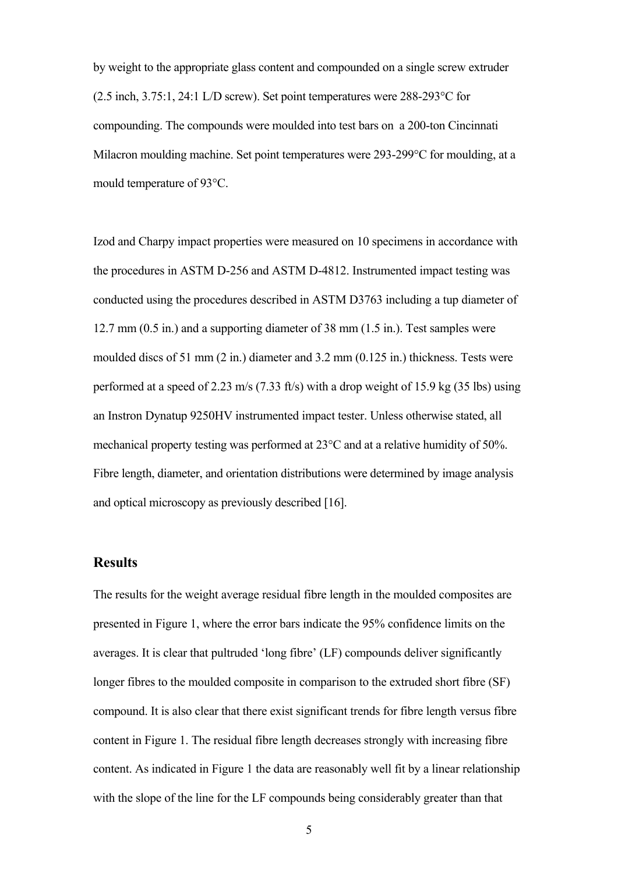by weight to the appropriate glass content and compounded on a single screw extruder (2.5 inch, 3.75:1, 24:1 L/D screw). Set point temperatures were 288-293°C for compounding. The compounds were moulded into test bars on a 200-ton Cincinnati Milacron moulding machine. Set point temperatures were 293-299°C for moulding, at a mould temperature of 93°C.

Izod and Charpy impact properties were measured on 10 specimens in accordance with the procedures in ASTM D-256 and ASTM D-4812. Instrumented impact testing was conducted using the procedures described in ASTM D3763 including a tup diameter of 12.7 mm (0.5 in.) and a supporting diameter of 38 mm (1.5 in.). Test samples were moulded discs of 51 mm (2 in.) diameter and 3.2 mm (0.125 in.) thickness. Tests were performed at a speed of 2.23 m/s (7.33 ft/s) with a drop weight of 15.9 kg (35 lbs) using an Instron Dynatup 9250HV instrumented impact tester. Unless otherwise stated, all mechanical property testing was performed at 23°C and at a relative humidity of 50%. Fibre length, diameter, and orientation distributions were determined by image analysis and optical microscopy as previously described [16].

# **Results**

The results for the weight average residual fibre length in the moulded composites are presented in Figure 1, where the error bars indicate the 95% confidence limits on the averages. It is clear that pultruded 'long fibre' (LF) compounds deliver significantly longer fibres to the moulded composite in comparison to the extruded short fibre (SF) compound. It is also clear that there exist significant trends for fibre length versus fibre content in Figure 1. The residual fibre length decreases strongly with increasing fibre content. As indicated in Figure 1 the data are reasonably well fit by a linear relationship with the slope of the line for the LF compounds being considerably greater than that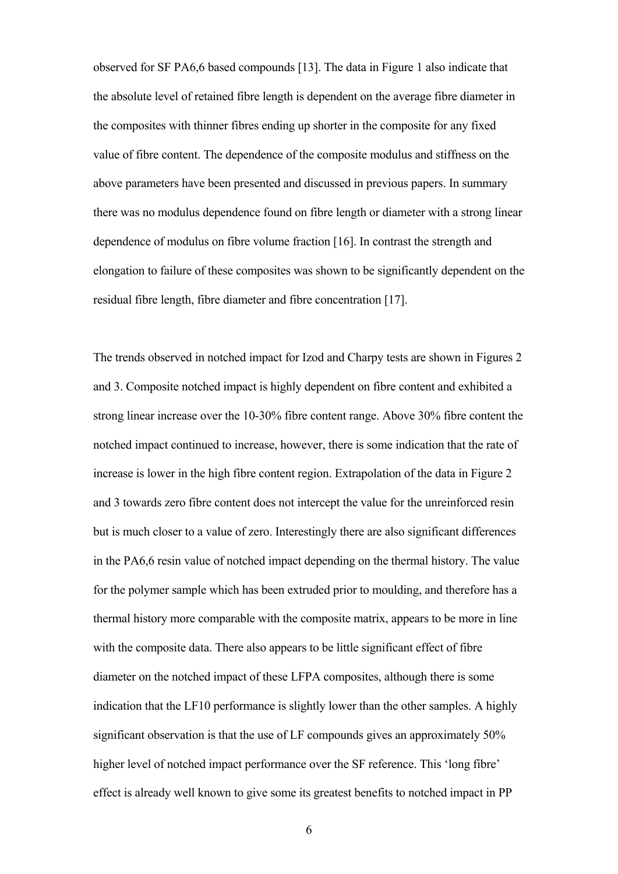observed for SF PA6,6 based compounds [13]. The data in Figure 1 also indicate that the absolute level of retained fibre length is dependent on the average fibre diameter in the composites with thinner fibres ending up shorter in the composite for any fixed value of fibre content. The dependence of the composite modulus and stiffness on the above parameters have been presented and discussed in previous papers. In summary there was no modulus dependence found on fibre length or diameter with a strong linear dependence of modulus on fibre volume fraction [16]. In contrast the strength and elongation to failure of these composites was shown to be significantly dependent on the residual fibre length, fibre diameter and fibre concentration [17].

The trends observed in notched impact for Izod and Charpy tests are shown in Figures 2 and 3. Composite notched impact is highly dependent on fibre content and exhibited a strong linear increase over the 10-30% fibre content range. Above 30% fibre content the notched impact continued to increase, however, there is some indication that the rate of increase is lower in the high fibre content region. Extrapolation of the data in Figure 2 and 3 towards zero fibre content does not intercept the value for the unreinforced resin but is much closer to a value of zero. Interestingly there are also significant differences in the PA6,6 resin value of notched impact depending on the thermal history. The value for the polymer sample which has been extruded prior to moulding, and therefore has a thermal history more comparable with the composite matrix, appears to be more in line with the composite data. There also appears to be little significant effect of fibre diameter on the notched impact of these LFPA composites, although there is some indication that the LF10 performance is slightly lower than the other samples. A highly significant observation is that the use of LF compounds gives an approximately 50% higher level of notched impact performance over the SF reference. This 'long fibre' effect is already well known to give some its greatest benefits to notched impact in PP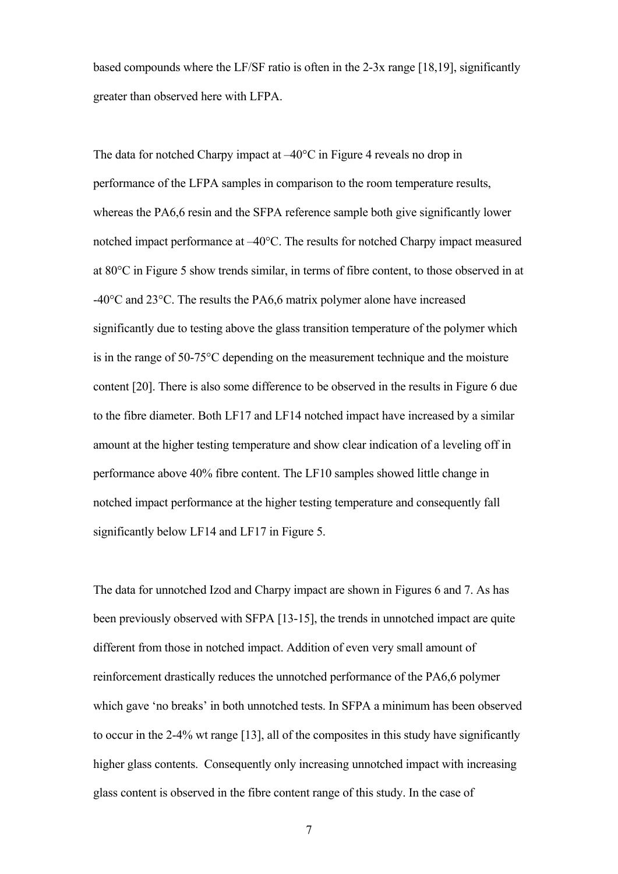based compounds where the LF/SF ratio is often in the 2-3x range [18,19], significantly greater than observed here with LFPA.

The data for notched Charpy impact at  $-40^{\circ}$ C in Figure 4 reveals no drop in performance of the LFPA samples in comparison to the room temperature results, whereas the PA6,6 resin and the SFPA reference sample both give significantly lower notched impact performance at  $-40^{\circ}$ C. The results for notched Charpy impact measured at 80°C in Figure 5 show trends similar, in terms of fibre content, to those observed in at -40°C and 23°C. The results the PA6,6 matrix polymer alone have increased significantly due to testing above the glass transition temperature of the polymer which is in the range of 50-75°C depending on the measurement technique and the moisture content [20]. There is also some difference to be observed in the results in Figure 6 due to the fibre diameter. Both LF17 and LF14 notched impact have increased by a similar amount at the higher testing temperature and show clear indication of a leveling off in performance above 40% fibre content. The LF10 samples showed little change in notched impact performance at the higher testing temperature and consequently fall significantly below LF14 and LF17 in Figure 5.

The data for unnotched Izod and Charpy impact are shown in Figures 6 and 7. As has been previously observed with SFPA [13-15], the trends in unnotched impact are quite different from those in notched impact. Addition of even very small amount of reinforcement drastically reduces the unnotched performance of the PA6,6 polymer which gave 'no breaks' in both unnotched tests. In SFPA a minimum has been observed to occur in the 2-4% wt range [13], all of the composites in this study have significantly higher glass contents. Consequently only increasing unnotched impact with increasing glass content is observed in the fibre content range of this study. In the case of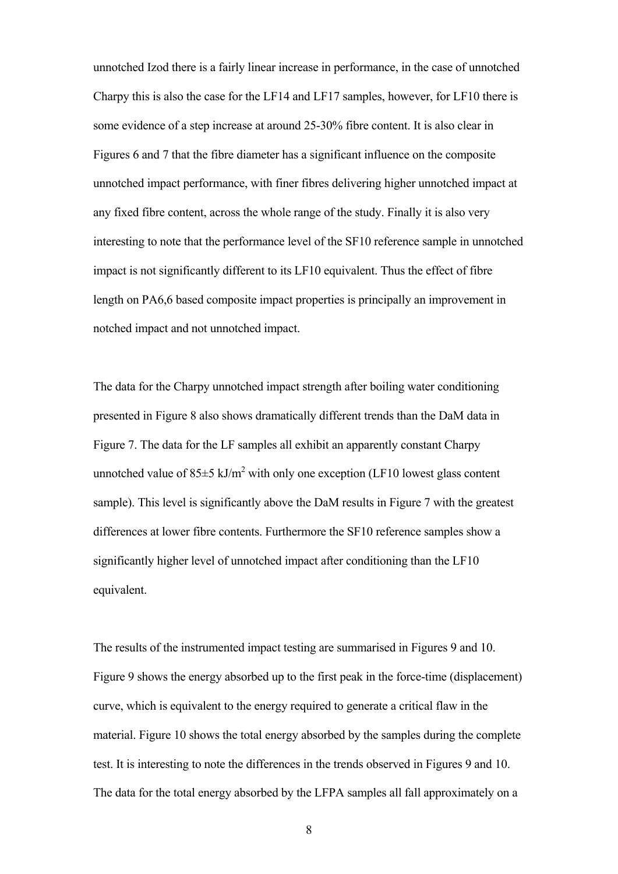unnotched Izod there is a fairly linear increase in performance, in the case of unnotched Charpy this is also the case for the LF14 and LF17 samples, however, for LF10 there is some evidence of a step increase at around 25-30% fibre content. It is also clear in Figures 6 and 7 that the fibre diameter has a significant influence on the composite unnotched impact performance, with finer fibres delivering higher unnotched impact at any fixed fibre content, across the whole range of the study. Finally it is also very interesting to note that the performance level of the SF10 reference sample in unnotched impact is not significantly different to its LF10 equivalent. Thus the effect of fibre length on PA6,6 based composite impact properties is principally an improvement in notched impact and not unnotched impact.

The data for the Charpy unnotched impact strength after boiling water conditioning presented in Figure 8 also shows dramatically different trends than the DaM data in Figure 7. The data for the LF samples all exhibit an apparently constant Charpy unnotched value of  $85\pm5$  kJ/m<sup>2</sup> with only one exception (LF10 lowest glass content sample). This level is significantly above the DaM results in Figure 7 with the greatest differences at lower fibre contents. Furthermore the SF10 reference samples show a significantly higher level of unnotched impact after conditioning than the LF10 equivalent.

The results of the instrumented impact testing are summarised in Figures 9 and 10. Figure 9 shows the energy absorbed up to the first peak in the force-time (displacement) curve, which is equivalent to the energy required to generate a critical flaw in the material. Figure 10 shows the total energy absorbed by the samples during the complete test. It is interesting to note the differences in the trends observed in Figures 9 and 10. The data for the total energy absorbed by the LFPA samples all fall approximately on a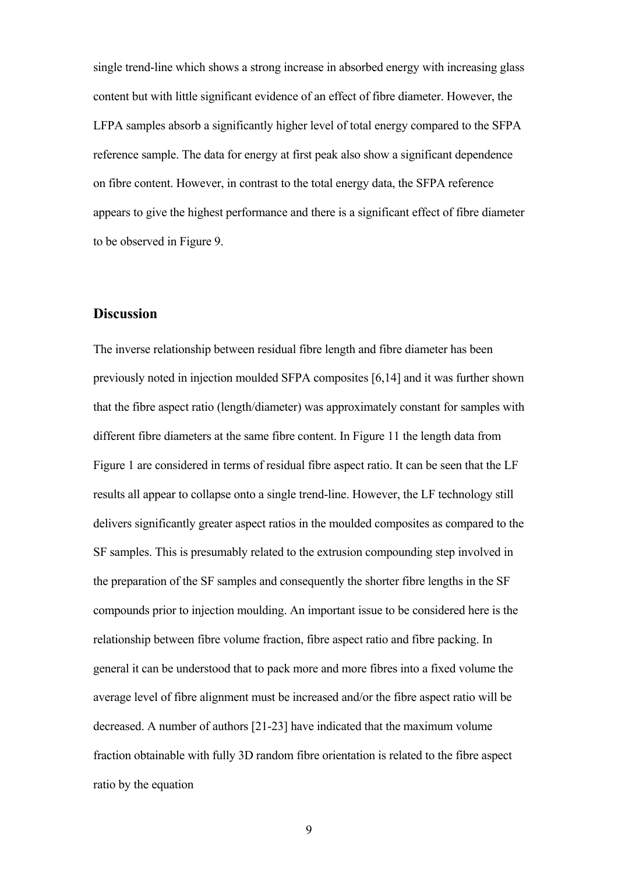single trend-line which shows a strong increase in absorbed energy with increasing glass content but with little significant evidence of an effect of fibre diameter. However, the LFPA samples absorb a significantly higher level of total energy compared to the SFPA reference sample. The data for energy at first peak also show a significant dependence on fibre content. However, in contrast to the total energy data, the SFPA reference appears to give the highest performance and there is a significant effect of fibre diameter to be observed in Figure 9.

# **Discussion**

The inverse relationship between residual fibre length and fibre diameter has been previously noted in injection moulded SFPA composites [6,14] and it was further shown that the fibre aspect ratio (length/diameter) was approximately constant for samples with different fibre diameters at the same fibre content. In Figure 11 the length data from Figure 1 are considered in terms of residual fibre aspect ratio. It can be seen that the LF results all appear to collapse onto a single trend-line. However, the LF technology still delivers significantly greater aspect ratios in the moulded composites as compared to the SF samples. This is presumably related to the extrusion compounding step involved in the preparation of the SF samples and consequently the shorter fibre lengths in the SF compounds prior to injection moulding. An important issue to be considered here is the relationship between fibre volume fraction, fibre aspect ratio and fibre packing. In general it can be understood that to pack more and more fibres into a fixed volume the average level of fibre alignment must be increased and/or the fibre aspect ratio will be decreased. A number of authors [21-23] have indicated that the maximum volume fraction obtainable with fully 3D random fibre orientation is related to the fibre aspect ratio by the equation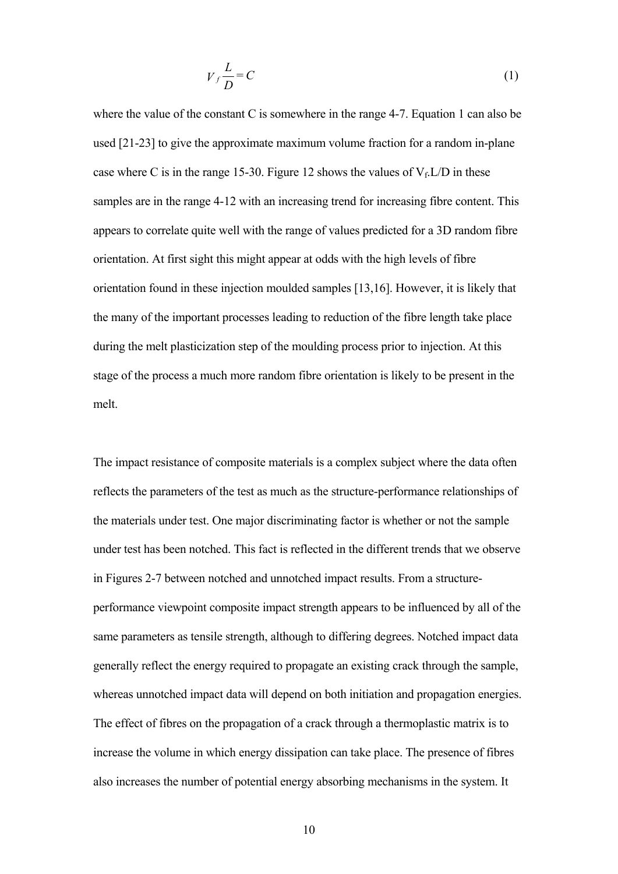$$
V_f \frac{L}{D} = C \tag{1}
$$

where the value of the constant C is somewhere in the range 4-7. Equation 1 can also be used [21-23] to give the approximate maximum volume fraction for a random in-plane case where C is in the range 15-30. Figure 12 shows the values of  $V_f L/D$  in these samples are in the range 4-12 with an increasing trend for increasing fibre content. This appears to correlate quite well with the range of values predicted for a 3D random fibre orientation. At first sight this might appear at odds with the high levels of fibre orientation found in these injection moulded samples [13,16]. However, it is likely that the many of the important processes leading to reduction of the fibre length take place during the melt plasticization step of the moulding process prior to injection. At this stage of the process a much more random fibre orientation is likely to be present in the melt.

The impact resistance of composite materials is a complex subject where the data often reflects the parameters of the test as much as the structure-performance relationships of the materials under test. One major discriminating factor is whether or not the sample under test has been notched. This fact is reflected in the different trends that we observe in Figures 2-7 between notched and unnotched impact results. From a structureperformance viewpoint composite impact strength appears to be influenced by all of the same parameters as tensile strength, although to differing degrees. Notched impact data generally reflect the energy required to propagate an existing crack through the sample, whereas unnotched impact data will depend on both initiation and propagation energies. The effect of fibres on the propagation of a crack through a thermoplastic matrix is to increase the volume in which energy dissipation can take place. The presence of fibres also increases the number of potential energy absorbing mechanisms in the system. It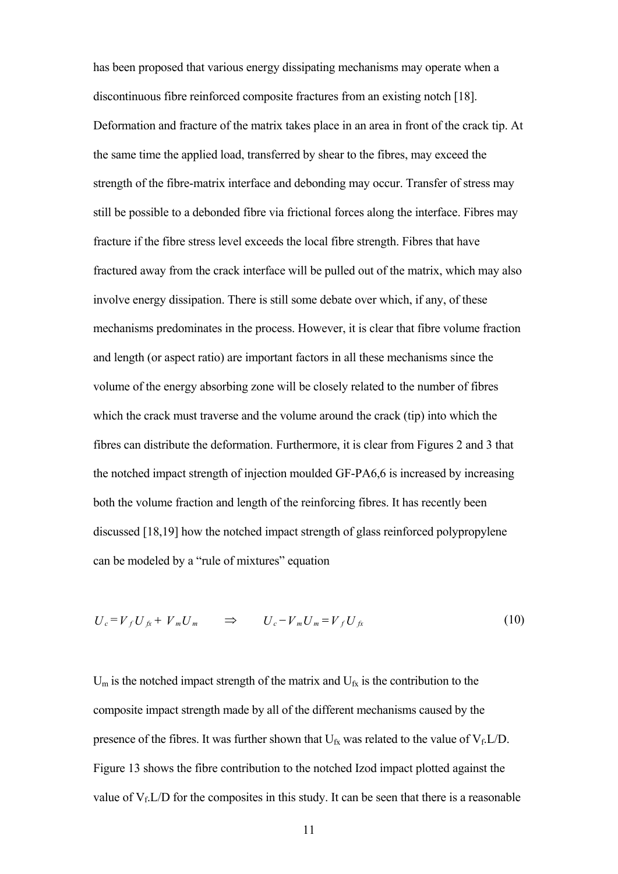has been proposed that various energy dissipating mechanisms may operate when a discontinuous fibre reinforced composite fractures from an existing notch [18]. Deformation and fracture of the matrix takes place in an area in front of the crack tip. At the same time the applied load, transferred by shear to the fibres, may exceed the strength of the fibre-matrix interface and debonding may occur. Transfer of stress may still be possible to a debonded fibre via frictional forces along the interface. Fibres may fracture if the fibre stress level exceeds the local fibre strength. Fibres that have fractured away from the crack interface will be pulled out of the matrix, which may also involve energy dissipation. There is still some debate over which, if any, of these mechanisms predominates in the process. However, it is clear that fibre volume fraction and length (or aspect ratio) are important factors in all these mechanisms since the volume of the energy absorbing zone will be closely related to the number of fibres which the crack must traverse and the volume around the crack (tip) into which the fibres can distribute the deformation. Furthermore, it is clear from Figures 2 and 3 that the notched impact strength of injection moulded GF-PA6,6 is increased by increasing both the volume fraction and length of the reinforcing fibres. It has recently been discussed [18,19] how the notched impact strength of glass reinforced polypropylene can be modeled by a "rule of mixtures" equation

$$
U_c = V_f U_{fx} + V_m U_m \qquad \Rightarrow \qquad U_c - V_m U_m = V_f U_{fx} \tag{10}
$$

 $U_m$  is the notched impact strength of the matrix and  $U_{fx}$  is the contribution to the composite impact strength made by all of the different mechanisms caused by the presence of the fibres. It was further shown that  $U_{fx}$  was related to the value of  $V_{f}L/D$ . Figure 13 shows the fibre contribution to the notched Izod impact plotted against the value of  $V_f.L/D$  for the composites in this study. It can be seen that there is a reasonable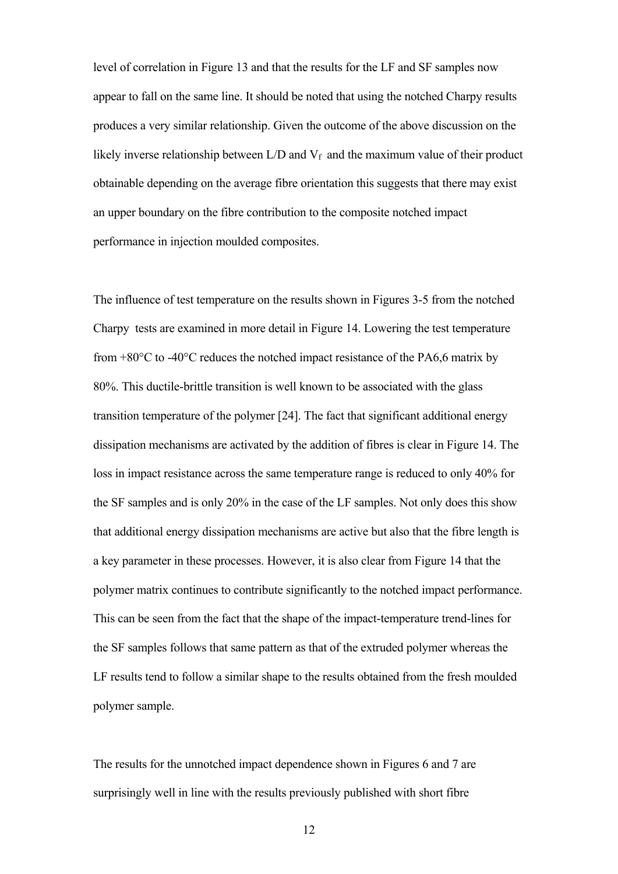level of correlation in Figure 13 and that the results for the LF and SF samples now appear to fall on the same line. It should be noted that using the notched Charpy results produces a very similar relationship. Given the outcome of the above discussion on the likely inverse relationship between  $L/D$  and  $V_f$  and the maximum value of their product obtainable depending on the average fibre orientation this suggests that there may exist an upper boundary on the fibre contribution to the composite notched impact performance in injection moulded composites.

The influence of test temperature on the results shown in Figures 3-5 from the notched Charpy tests are examined in more detail in Figure 14. Lowering the test temperature from +80°C to -40°C reduces the notched impact resistance of the PA6,6 matrix by 80%. This ductile-brittle transition is well known to be associated with the glass transition temperature of the polymer [24]. The fact that significant additional energy dissipation mechanisms are activated by the addition of fibres is clear in Figure 14. The loss in impact resistance across the same temperature range is reduced to only 40% for the SF samples and is only 20% in the case of the LF samples. Not only does this show that additional energy dissipation mechanisms are active but also that the fibre length is a key parameter in these processes. However, it is also clear from Figure 14 that the polymer matrix continues to contribute significantly to the notched impact performance. This can be seen from the fact that the shape of the impact-temperature trend-lines for the SF samples follows that same pattern as that of the extruded polymer whereas the LF results tend to follow a similar shape to the results obtained from the fresh moulded polymer sample.

The results for the unnotched impact dependence shown in Figures 6 and 7 are surprisingly well in line with the results previously published with short fibre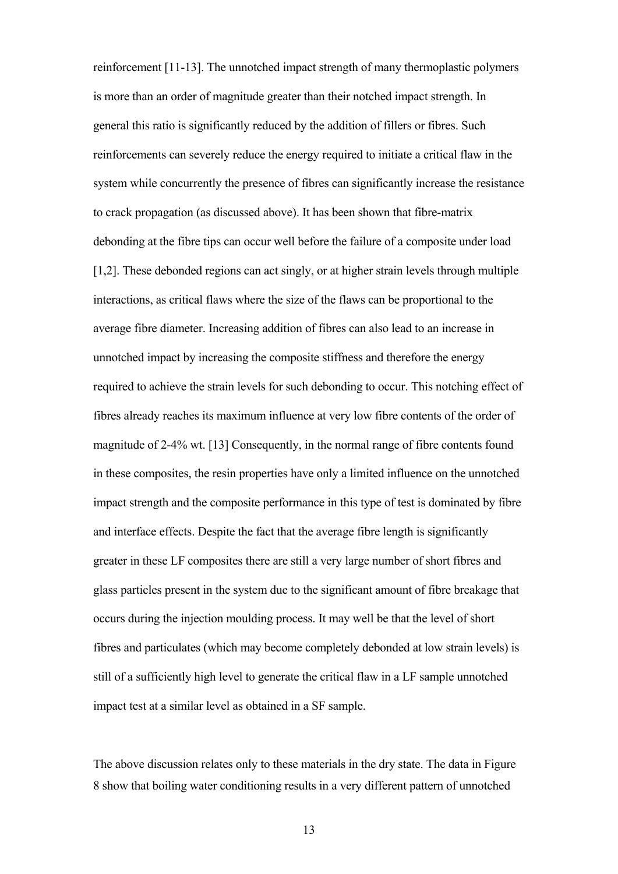reinforcement [11-13]. The unnotched impact strength of many thermoplastic polymers is more than an order of magnitude greater than their notched impact strength. In general this ratio is significantly reduced by the addition of fillers or fibres. Such reinforcements can severely reduce the energy required to initiate a critical flaw in the system while concurrently the presence of fibres can significantly increase the resistance to crack propagation (as discussed above). It has been shown that fibre-matrix debonding at the fibre tips can occur well before the failure of a composite under load [1,2]. These debonded regions can act singly, or at higher strain levels through multiple interactions, as critical flaws where the size of the flaws can be proportional to the average fibre diameter. Increasing addition of fibres can also lead to an increase in unnotched impact by increasing the composite stiffness and therefore the energy required to achieve the strain levels for such debonding to occur. This notching effect of fibres already reaches its maximum influence at very low fibre contents of the order of magnitude of 2-4% wt. [13] Consequently, in the normal range of fibre contents found in these composites, the resin properties have only a limited influence on the unnotched impact strength and the composite performance in this type of test is dominated by fibre and interface effects. Despite the fact that the average fibre length is significantly greater in these LF composites there are still a very large number of short fibres and glass particles present in the system due to the significant amount of fibre breakage that occurs during the injection moulding process. It may well be that the level of short fibres and particulates (which may become completely debonded at low strain levels) is still of a sufficiently high level to generate the critical flaw in a LF sample unnotched impact test at a similar level as obtained in a SF sample.

The above discussion relates only to these materials in the dry state. The data in Figure 8 show that boiling water conditioning results in a very different pattern of unnotched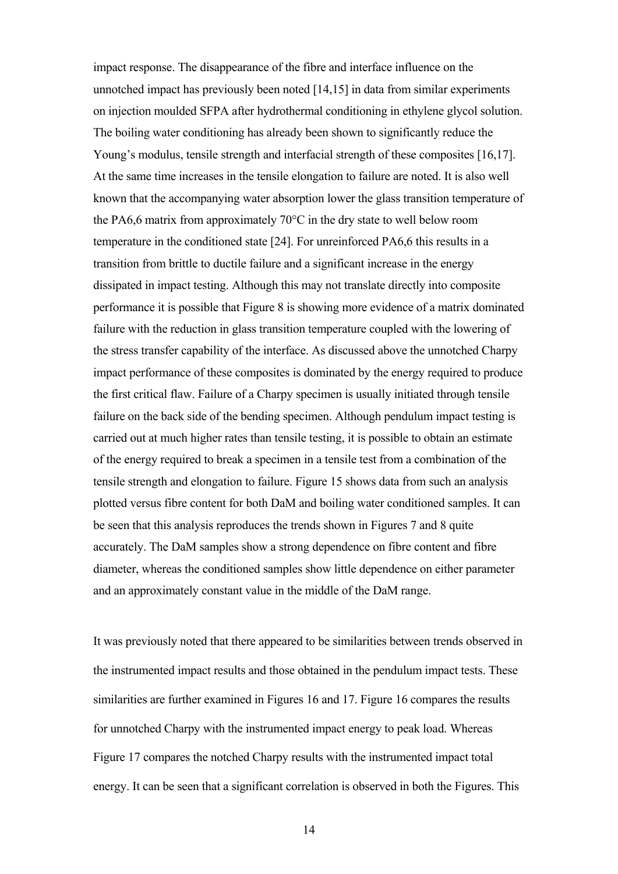impact response. The disappearance of the fibre and interface influence on the unnotched impact has previously been noted [14,15] in data from similar experiments on injection moulded SFPA after hydrothermal conditioning in ethylene glycol solution. The boiling water conditioning has already been shown to significantly reduce the Young's modulus, tensile strength and interfacial strength of these composites [16,17]. At the same time increases in the tensile elongation to failure are noted. It is also well known that the accompanying water absorption lower the glass transition temperature of the PA6,6 matrix from approximately 70°C in the dry state to well below room temperature in the conditioned state [24]. For unreinforced PA6,6 this results in a transition from brittle to ductile failure and a significant increase in the energy dissipated in impact testing. Although this may not translate directly into composite performance it is possible that Figure 8 is showing more evidence of a matrix dominated failure with the reduction in glass transition temperature coupled with the lowering of the stress transfer capability of the interface. As discussed above the unnotched Charpy impact performance of these composites is dominated by the energy required to produce the first critical flaw. Failure of a Charpy specimen is usually initiated through tensile failure on the back side of the bending specimen. Although pendulum impact testing is carried out at much higher rates than tensile testing, it is possible to obtain an estimate of the energy required to break a specimen in a tensile test from a combination of the tensile strength and elongation to failure. Figure 15 shows data from such an analysis plotted versus fibre content for both DaM and boiling water conditioned samples. It can be seen that this analysis reproduces the trends shown in Figures 7 and 8 quite accurately. The DaM samples show a strong dependence on fibre content and fibre diameter, whereas the conditioned samples show little dependence on either parameter and an approximately constant value in the middle of the DaM range.

It was previously noted that there appeared to be similarities between trends observed in the instrumented impact results and those obtained in the pendulum impact tests. These similarities are further examined in Figures 16 and 17. Figure 16 compares the results for unnotched Charpy with the instrumented impact energy to peak load. Whereas Figure 17 compares the notched Charpy results with the instrumented impact total energy. It can be seen that a significant correlation is observed in both the Figures. This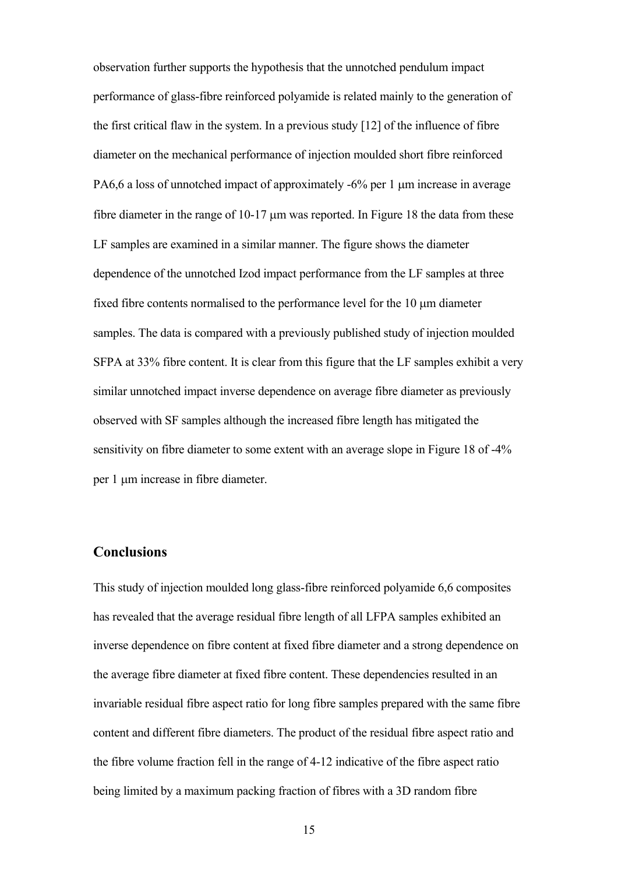observation further supports the hypothesis that the unnotched pendulum impact performance of glass-fibre reinforced polyamide is related mainly to the generation of the first critical flaw in the system. In a previous study [12] of the influence of fibre diameter on the mechanical performance of injection moulded short fibre reinforced PA6,6 a loss of unnotched impact of approximately -6% per 1 μm increase in average fibre diameter in the range of 10-17 μm was reported. In Figure 18 the data from these LF samples are examined in a similar manner. The figure shows the diameter dependence of the unnotched Izod impact performance from the LF samples at three fixed fibre contents normalised to the performance level for the 10 μm diameter samples. The data is compared with a previously published study of injection moulded SFPA at 33% fibre content. It is clear from this figure that the LF samples exhibit a very similar unnotched impact inverse dependence on average fibre diameter as previously observed with SF samples although the increased fibre length has mitigated the sensitivity on fibre diameter to some extent with an average slope in Figure 18 of -4% per 1 μm increase in fibre diameter.

# **Conclusions**

This study of injection moulded long glass-fibre reinforced polyamide 6,6 composites has revealed that the average residual fibre length of all LFPA samples exhibited an inverse dependence on fibre content at fixed fibre diameter and a strong dependence on the average fibre diameter at fixed fibre content. These dependencies resulted in an invariable residual fibre aspect ratio for long fibre samples prepared with the same fibre content and different fibre diameters. The product of the residual fibre aspect ratio and the fibre volume fraction fell in the range of 4-12 indicative of the fibre aspect ratio being limited by a maximum packing fraction of fibres with a 3D random fibre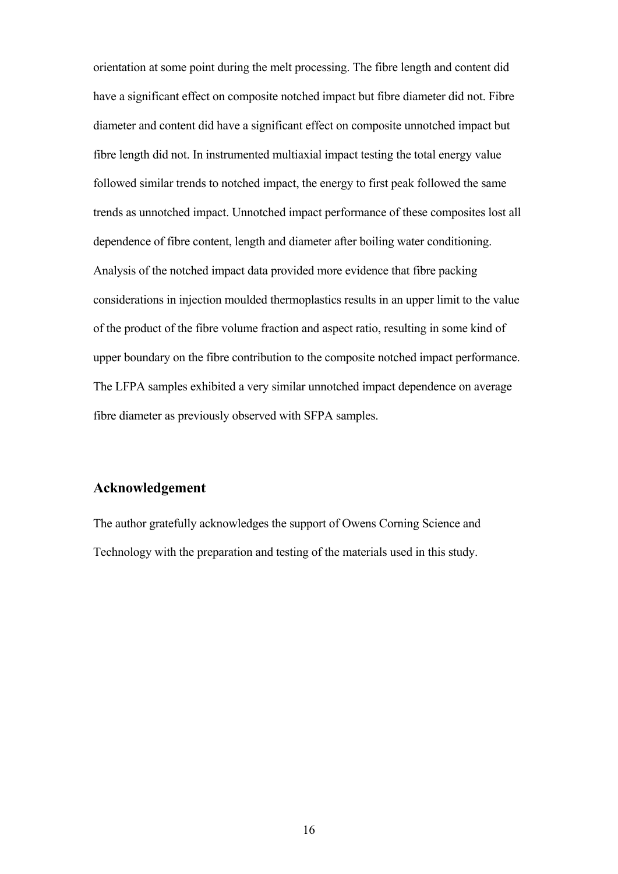orientation at some point during the melt processing. The fibre length and content did have a significant effect on composite notched impact but fibre diameter did not. Fibre diameter and content did have a significant effect on composite unnotched impact but fibre length did not. In instrumented multiaxial impact testing the total energy value followed similar trends to notched impact, the energy to first peak followed the same trends as unnotched impact. Unnotched impact performance of these composites lost all dependence of fibre content, length and diameter after boiling water conditioning. Analysis of the notched impact data provided more evidence that fibre packing considerations in injection moulded thermoplastics results in an upper limit to the value of the product of the fibre volume fraction and aspect ratio, resulting in some kind of upper boundary on the fibre contribution to the composite notched impact performance. The LFPA samples exhibited a very similar unnotched impact dependence on average fibre diameter as previously observed with SFPA samples.

# **Acknowledgement**

The author gratefully acknowledges the support of Owens Corning Science and Technology with the preparation and testing of the materials used in this study.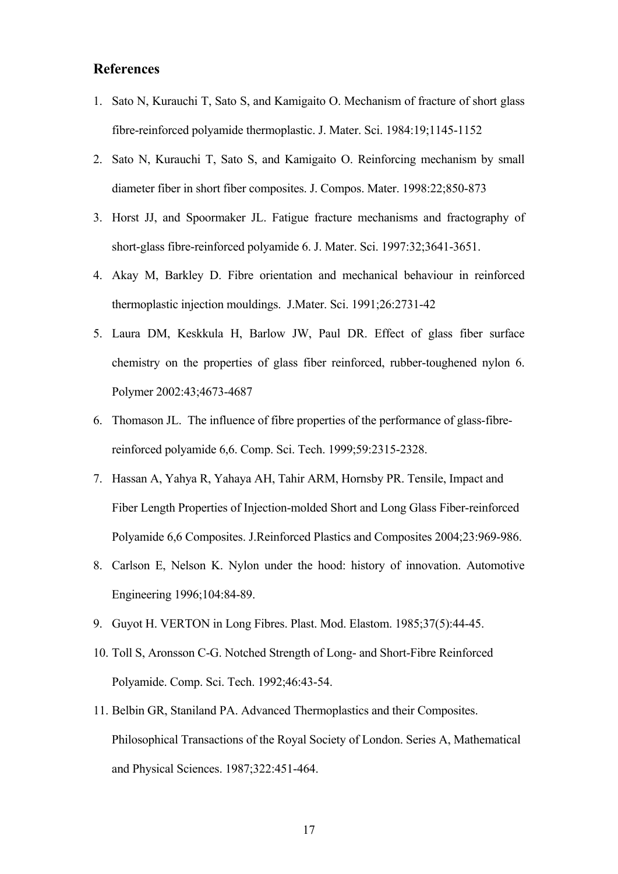# **References**

- 1. Sato N, Kurauchi T, Sato S, and Kamigaito O. Mechanism of fracture of short glass fibre-reinforced polyamide thermoplastic. J. Mater. Sci. 1984:19;1145-1152
- 2. Sato N, Kurauchi T, Sato S, and Kamigaito O. Reinforcing mechanism by small diameter fiber in short fiber composites. J. Compos. Mater. 1998:22;850-873
- 3. Horst JJ, and Spoormaker JL. Fatigue fracture mechanisms and fractography of short-glass fibre-reinforced polyamide 6. J. Mater. Sci. 1997:32;3641-3651.
- 4. Akay M, Barkley D. Fibre orientation and mechanical behaviour in reinforced thermoplastic injection mouldings. J.Mater. Sci. 1991;26:2731-42
- 5. Laura DM, Keskkula H, Barlow JW, Paul DR. Effect of glass fiber surface chemistry on the properties of glass fiber reinforced, rubber-toughened nylon 6. Polymer 2002:43;4673-4687
- 6. Thomason JL. The influence of fibre properties of the performance of glass-fibrereinforced polyamide 6,6. Comp. Sci. Tech. 1999;59:2315-2328.
- 7. Hassan A, Yahya R, Yahaya AH, Tahir ARM, Hornsby PR. Tensile, Impact and Fiber Length Properties of Injection-molded Short and Long Glass Fiber-reinforced Polyamide 6,6 Composites. J.Reinforced Plastics and Composites 2004;23:969-986.
- 8. Carlson E, Nelson K. Nylon under the hood: history of innovation. Automotive Engineering 1996;104:84-89.
- 9. Guyot H. VERTON in Long Fibres. Plast. Mod. Elastom. 1985;37(5):44-45.
- 10. Toll S, Aronsson C-G. Notched Strength of Long- and Short-Fibre Reinforced Polyamide. Comp. Sci. Tech. 1992;46:43-54.
- 11. Belbin GR, Staniland PA. Advanced Thermoplastics and their Composites. Philosophical Transactions of the Royal Society of London. Series A, Mathematical and Physical Sciences. 1987;322:451-464.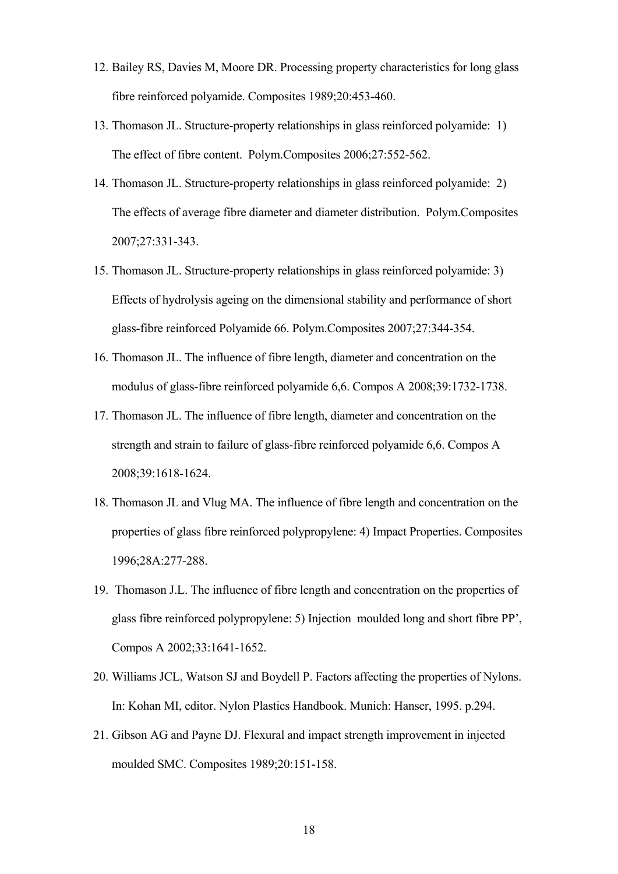- 12. Bailey RS, Davies M, Moore DR. Processing property characteristics for long glass fibre reinforced polyamide. Composites 1989;20:453-460.
- 13. Thomason JL. Structure-property relationships in glass reinforced polyamide: 1) The effect of fibre content. Polym.Composites 2006;27:552-562.
- 14. Thomason JL. Structure-property relationships in glass reinforced polyamide: 2) The effects of average fibre diameter and diameter distribution. Polym.Composites 2007;27:331-343.
- 15. Thomason JL. Structure-property relationships in glass reinforced polyamide: 3) Effects of hydrolysis ageing on the dimensional stability and performance of short glass-fibre reinforced Polyamide 66. Polym.Composites 2007;27:344-354.
- 16. Thomason JL. The influence of fibre length, diameter and concentration on the modulus of glass-fibre reinforced polyamide 6,6. Compos A 2008;39:1732-1738.
- 17. Thomason JL. The influence of fibre length, diameter and concentration on the strength and strain to failure of glass-fibre reinforced polyamide 6,6. Compos A 2008;39:1618-1624.
- 18. Thomason JL and Vlug MA. The influence of fibre length and concentration on the properties of glass fibre reinforced polypropylene: 4) Impact Properties. Composites 1996;28A:277-288.
- 19. Thomason J.L. The influence of fibre length and concentration on the properties of glass fibre reinforced polypropylene: 5) Injection moulded long and short fibre PP<sup>'</sup>, Compos A 2002;33:1641-1652.
- 20. Williams JCL, Watson SJ and Boydell P. Factors affecting the properties of Nylons. In: Kohan MI, editor. Nylon Plastics Handbook. Munich: Hanser, 1995. p.294.
- 21. Gibson AG and Payne DJ. Flexural and impact strength improvement in injected moulded SMC. Composites 1989;20:151-158.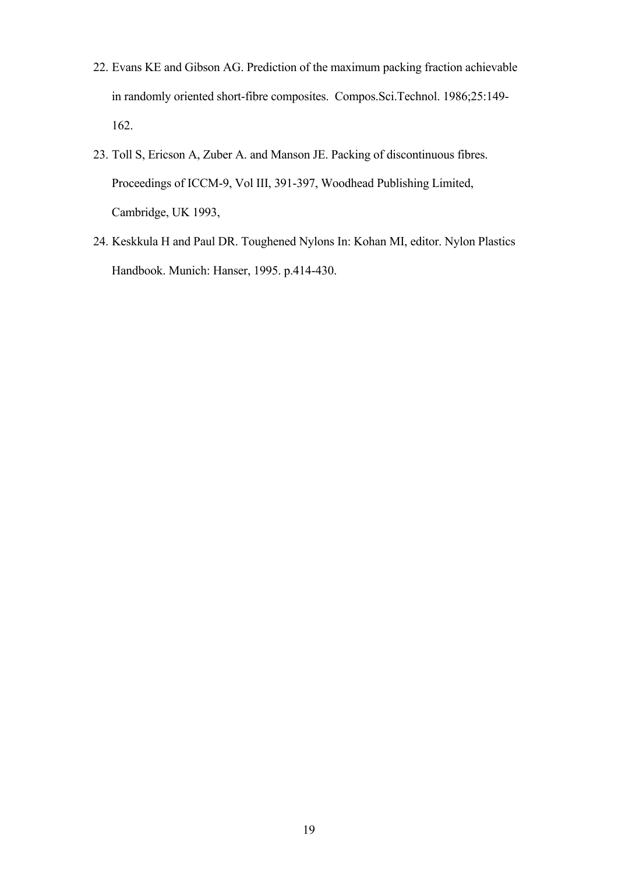- 22. Evans KE and Gibson AG. Prediction of the maximum packing fraction achievable in randomly oriented short-fibre composites. Compos.Sci.Technol. 1986;25:149- 162.
- 23. Toll S, Ericson A, Zuber A. and Manson JE. Packing of discontinuous fibres. Proceedings of ICCM-9, Vol III, 391-397, Woodhead Publishing Limited, Cambridge, UK 1993,
- 24. Keskkula H and Paul DR. Toughened Nylons In: Kohan MI, editor. Nylon Plastics Handbook. Munich: Hanser, 1995. p.414-430.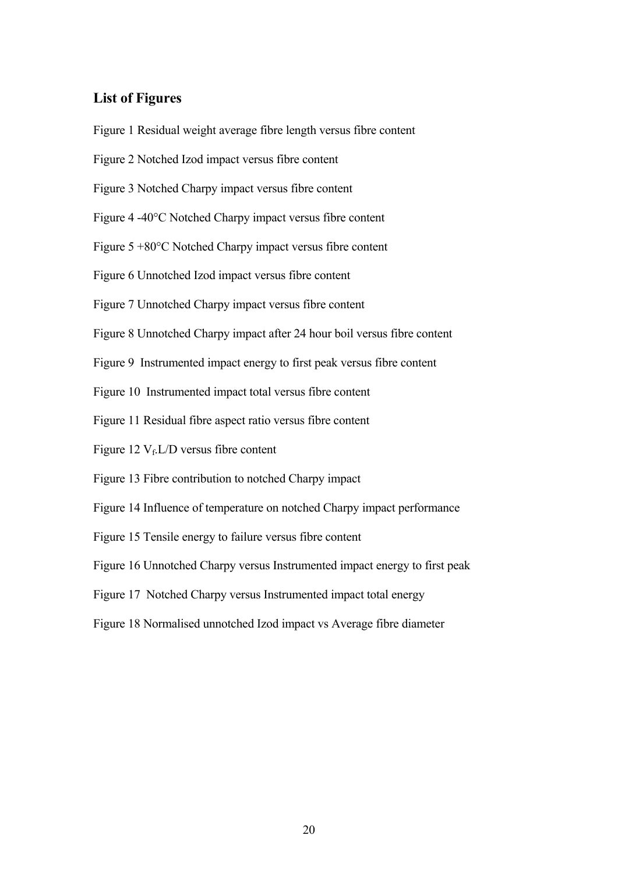# **List of Figures**

- Figure 1 Residual weight average fibre length versus fibre content
- Figure 2 Notched Izod impact versus fibre content
- Figure 3 Notched Charpy impact versus fibre content
- Figure 4 -40°C Notched Charpy impact versus fibre content
- Figure 5 +80°C Notched Charpy impact versus fibre content
- Figure 6 Unnotched Izod impact versus fibre content
- Figure 7 Unnotched Charpy impact versus fibre content
- Figure 8 Unnotched Charpy impact after 24 hour boil versus fibre content
- Figure 9 Instrumented impact energy to first peak versus fibre content
- Figure 10 Instrumented impact total versus fibre content
- Figure 11 Residual fibre aspect ratio versus fibre content
- Figure 12  $V_f$ . L/D versus fibre content
- Figure 13 Fibre contribution to notched Charpy impact
- Figure 14 Influence of temperature on notched Charpy impact performance
- Figure 15 Tensile energy to failure versus fibre content
- Figure 16 Unnotched Charpy versus Instrumented impact energy to first peak
- Figure 17 Notched Charpy versus Instrumented impact total energy
- Figure 18 Normalised unnotched Izod impact vs Average fibre diameter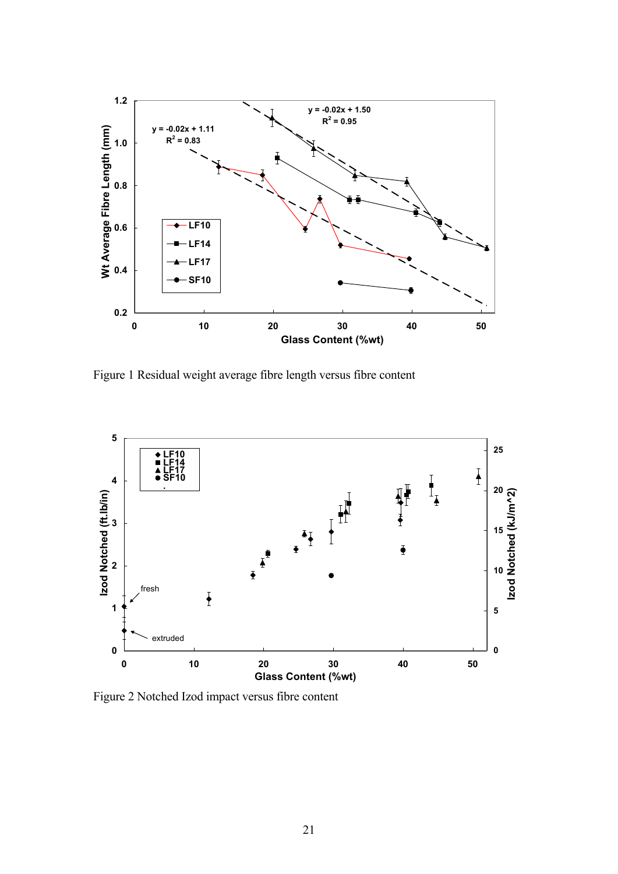

Figure 1 Residual weight average fibre length versus fibre content



Figure 2 Notched Izod impact versus fibre content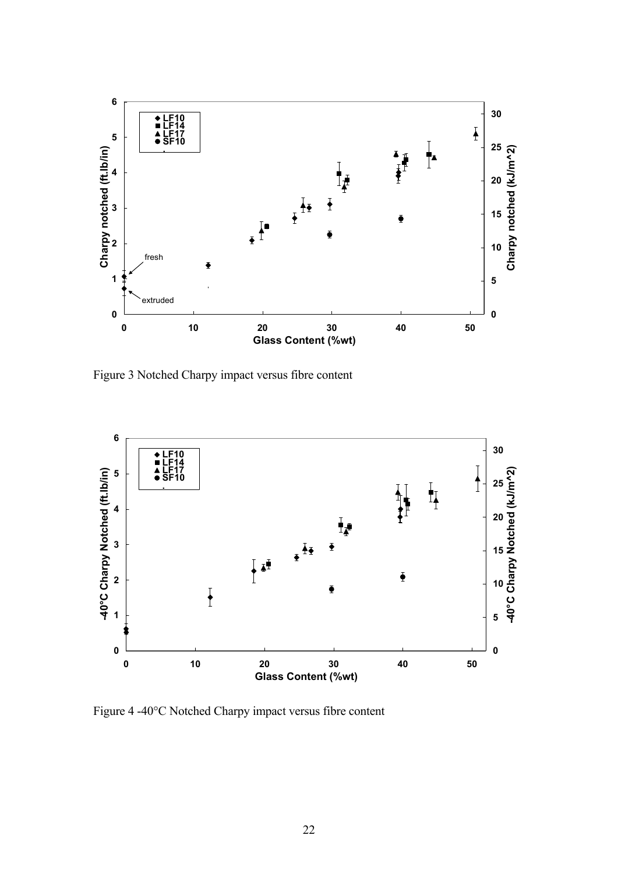

Figure 3 Notched Charpy impact versus fibre content



Figure 4 -40°C Notched Charpy impact versus fibre content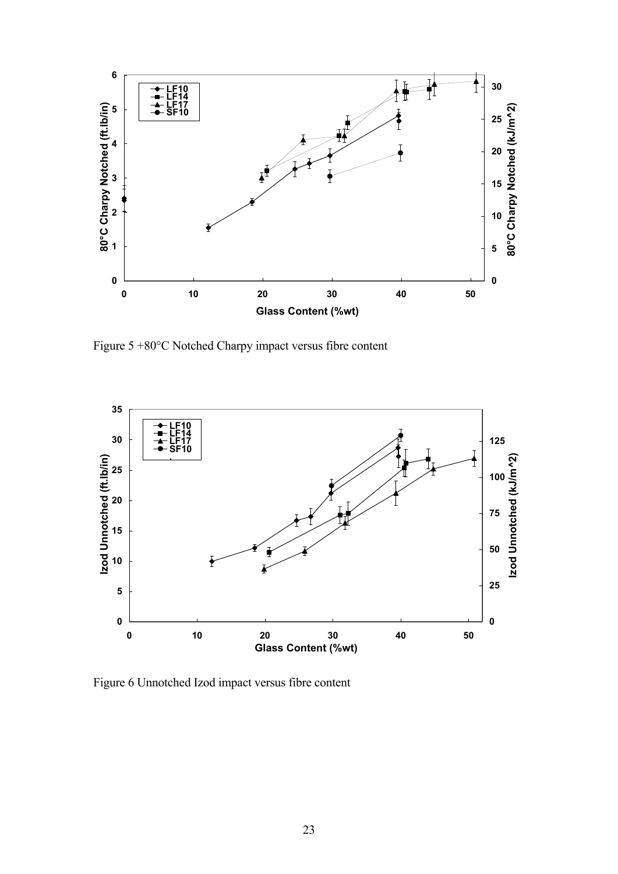

Figure 5 +80°C Notched Charpy impact versus fibre content



Figure 6 Unnotched Izod impact versus fibre content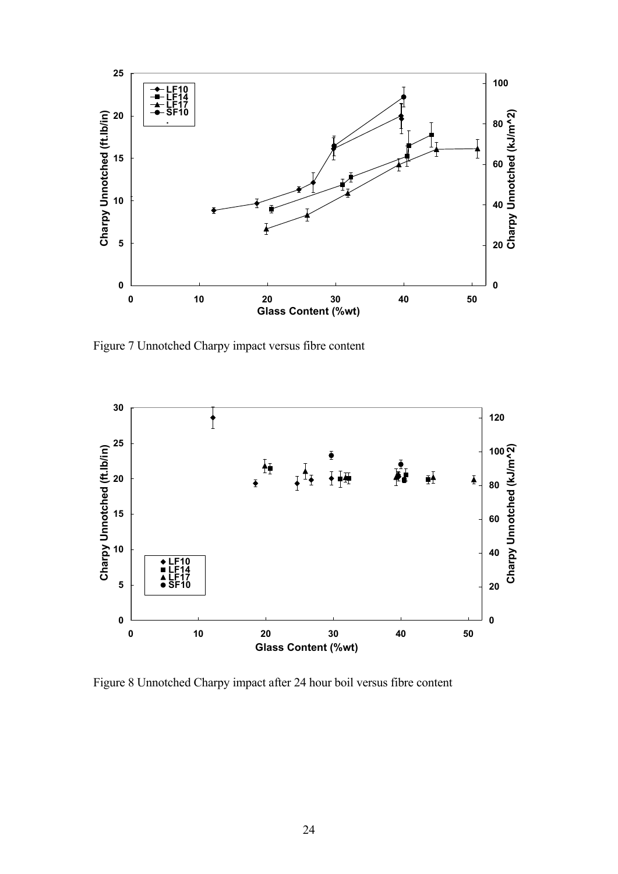

Figure 7 Unnotched Charpy impact versus fibre content



Figure 8 Unnotched Charpy impact after 24 hour boil versus fibre content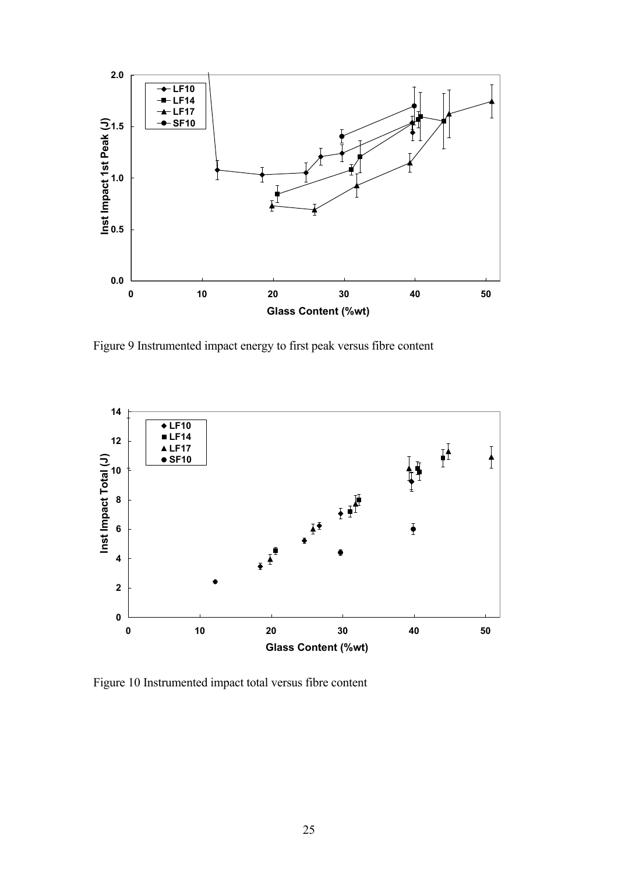

Figure 9 Instrumented impact energy to first peak versus fibre content



Figure 10 Instrumented impact total versus fibre content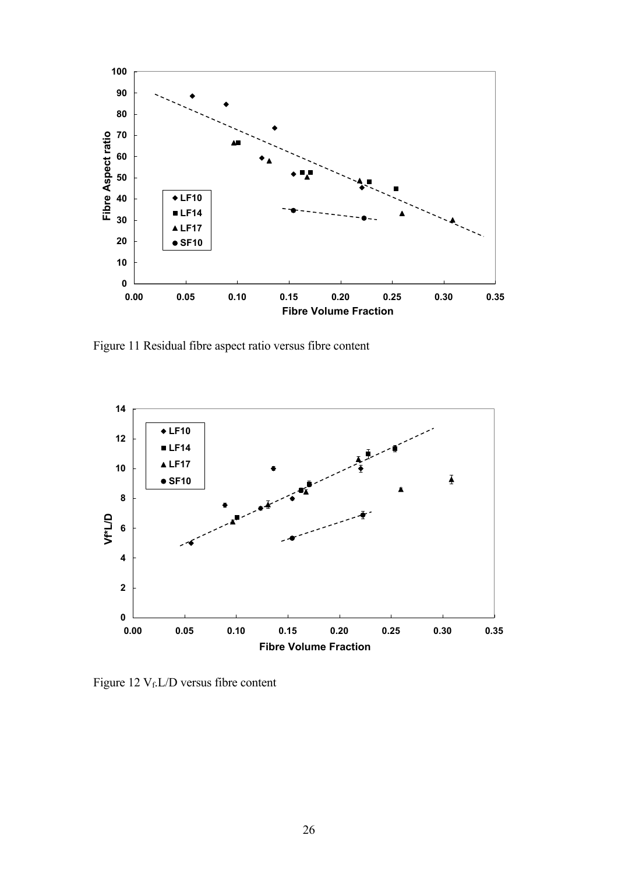

Figure 11 Residual fibre aspect ratio versus fibre content



Figure 12 V<sub>f</sub>.L/D versus fibre content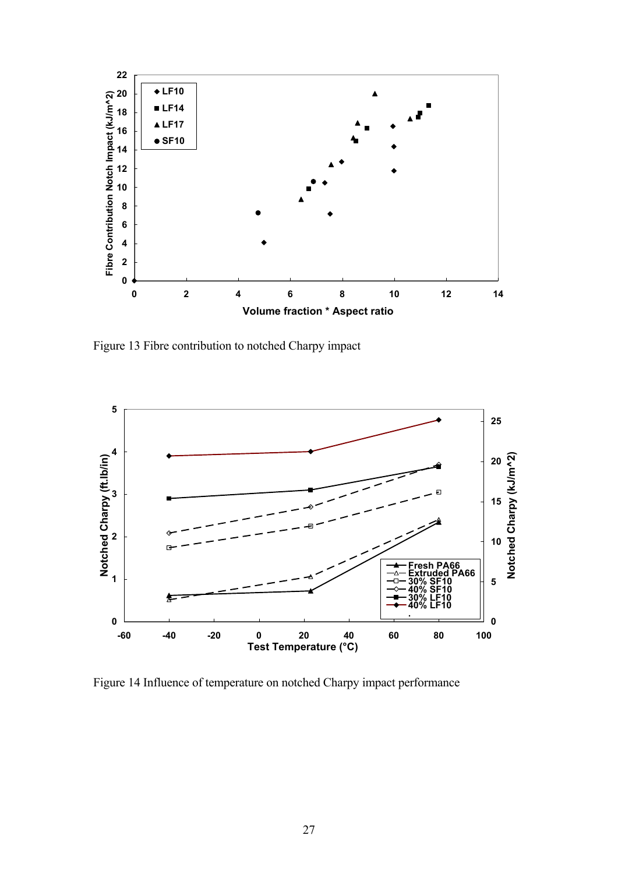

Figure 13 Fibre contribution to notched Charpy impact



Figure 14 Influence of temperature on notched Charpy impact performance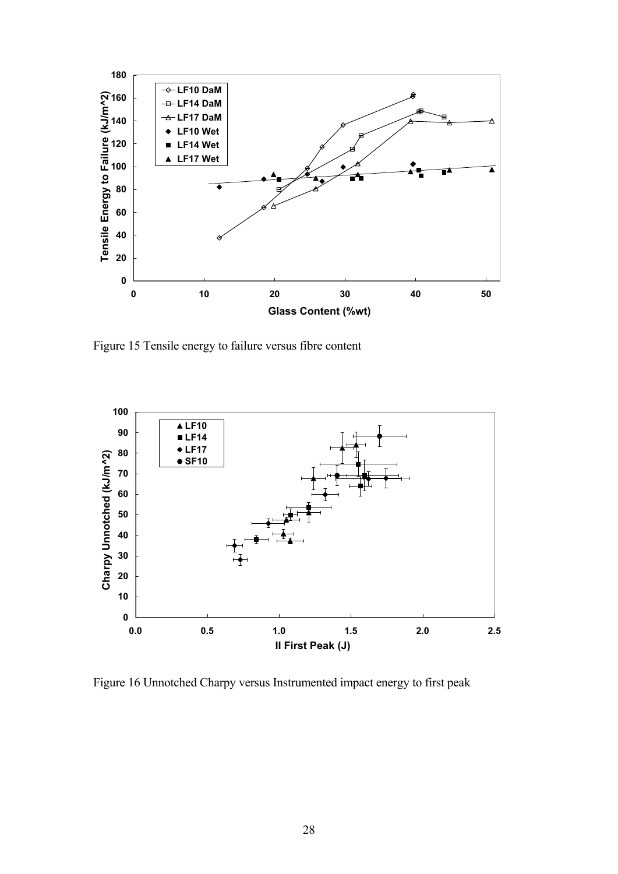

Figure 15 Tensile energy to failure versus fibre content



Figure 16 Unnotched Charpy versus Instrumented impact energy to first peak